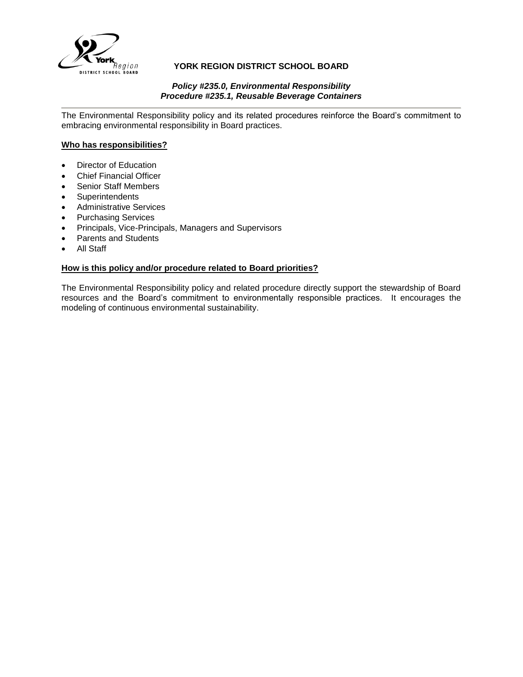

## **YORK REGION DISTRICT SCHOOL BOARD**

#### *Policy #235.0, Environmental Responsibility Procedure #235.1, Reusable Beverage Containers*

The Environmental Responsibility policy and its related procedures reinforce the Board's commitment to embracing environmental responsibility in Board practices.

### **Who has responsibilities?**

- Director of Education
- Chief Financial Officer
- Senior Staff Members
- **Superintendents**
- Administrative Services
- Purchasing Services
- Principals, Vice-Principals, Managers and Supervisors
- Parents and Students
- All Staff

## **How is this policy and/or procedure related to Board priorities?**

The Environmental Responsibility policy and related procedure directly support the stewardship of Board resources and the Board's commitment to environmentally responsible practices. It encourages the modeling of continuous environmental sustainability.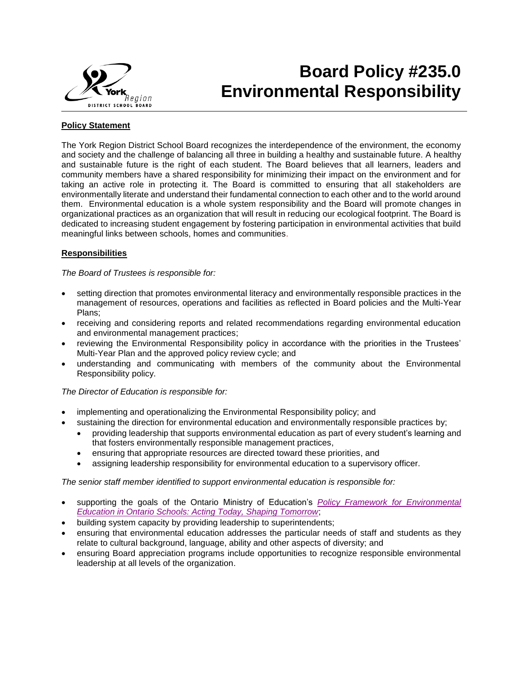

## **Board Policy #235.0 Environmental Responsibility**

## **Policy Statement**

The York Region District School Board recognizes the interdependence of the environment, the economy and society and the challenge of balancing all three in building a healthy and sustainable future. A healthy and sustainable future is the right of each student. The Board believes that all learners, leaders and community members have a shared responsibility for minimizing their impact on the environment and for taking an active role in protecting it. The Board is committed to ensuring that all stakeholders are environmentally literate and understand their fundamental connection to each other and to the world around them. Environmental education is a whole system responsibility and the Board will promote changes in organizational practices as an organization that will result in reducing our ecological footprint. The Board is dedicated to increasing student engagement by fostering participation in environmental activities that build meaningful links between schools, homes and communities.

## **Responsibilities**

*The Board of Trustees is responsible for:*

- setting direction that promotes environmental literacy and environmentally responsible practices in the management of resources, operations and facilities as reflected in Board policies and the Multi-Year Plans;
- receiving and considering reports and related recommendations regarding environmental education and environmental management practices;
- reviewing the Environmental Responsibility policy in accordance with the priorities in the Trustees' Multi-Year Plan and the approved policy review cycle; and
- understanding and communicating with members of the community about the Environmental Responsibility policy.

#### *The Director of Education is responsible for:*

- implementing and operationalizing the Environmental Responsibility policy; and
- sustaining the direction for environmental education and environmentally responsible practices by;
	- providing leadership that supports environmental education as part of every student's learning and that fosters environmentally responsible management practices,
	- ensuring that appropriate resources are directed toward these priorities, and
	- assigning leadership responsibility for environmental education to a supervisory officer.

*The senior staff member identified to support environmental education is responsible for:*

- supporting the goals of the Ontario Ministry of Education's *[Policy Framework for Environmental](http://www.edu.gov.on.ca/eng/teachers/enviroed/ShapeTomorrow.pdf)  [Education in Ontario Schools: Acting Today, Shaping Tomorrow](http://www.edu.gov.on.ca/eng/teachers/enviroed/ShapeTomorrow.pdf)*;
- building system capacity by providing leadership to superintendents;
- ensuring that environmental education addresses the particular needs of staff and students as they relate to cultural background, language, ability and other aspects of diversity; and
- ensuring Board appreciation programs include opportunities to recognize responsible environmental leadership at all levels of the organization.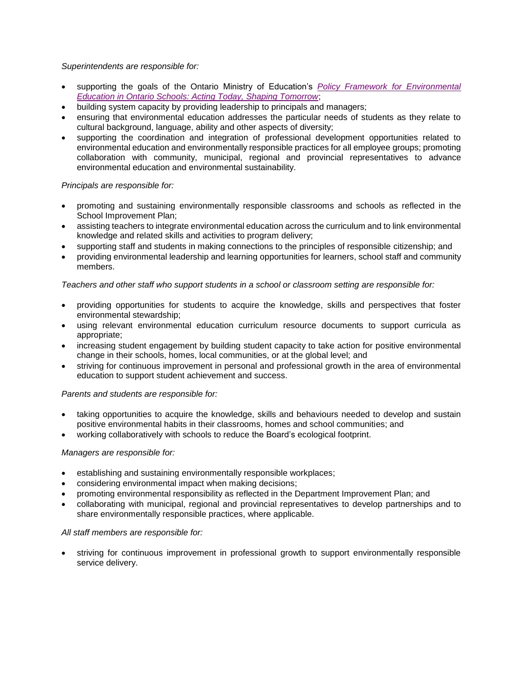## *Superintendents are responsible for:*

- supporting the goals of the Ontario Ministry of Education's *[Policy Framework for Environmental](http://www.edu.gov.on.ca/eng/teachers/enviroed/ShapeTomorrow.pdf)  [Education in Ontario Schools: Acting Today, Shaping Tomorrow](http://www.edu.gov.on.ca/eng/teachers/enviroed/ShapeTomorrow.pdf)*;
- building system capacity by providing leadership to principals and managers;
- ensuring that environmental education addresses the particular needs of students as they relate to cultural background, language, ability and other aspects of diversity;
- supporting the coordination and integration of professional development opportunities related to environmental education and environmentally responsible practices for all employee groups; promoting collaboration with community, municipal, regional and provincial representatives to advance environmental education and environmental sustainability.

### *Principals are responsible for:*

- promoting and sustaining environmentally responsible classrooms and schools as reflected in the School Improvement Plan;
- assisting teachers to integrate environmental education across the curriculum and to link environmental knowledge and related skills and activities to program delivery;
- supporting staff and students in making connections to the principles of responsible citizenship; and
- providing environmental leadership and learning opportunities for learners, school staff and community members.

#### *Teachers and other staff who support students in a school or classroom setting are responsible for:*

- providing opportunities for students to acquire the knowledge, skills and perspectives that foster environmental stewardship;
- using relevant environmental education curriculum resource documents to support curricula as appropriate;
- increasing student engagement by building student capacity to take action for positive environmental change in their schools, homes, local communities, or at the global level; and
- striving for continuous improvement in personal and professional growth in the area of environmental education to support student achievement and success.

#### *Parents and students are responsible for:*

- taking opportunities to acquire the knowledge, skills and behaviours needed to develop and sustain positive environmental habits in their classrooms, homes and school communities; and
- working collaboratively with schools to reduce the Board's ecological footprint.

#### *Managers are responsible for:*

- establishing and sustaining environmentally responsible workplaces;
- considering environmental impact when making decisions;
- promoting environmental responsibility as reflected in the Department Improvement Plan; and
- collaborating with municipal, regional and provincial representatives to develop partnerships and to share environmentally responsible practices, where applicable.

#### *All staff members are responsible for:*

 striving for continuous improvement in professional growth to support environmentally responsible service delivery.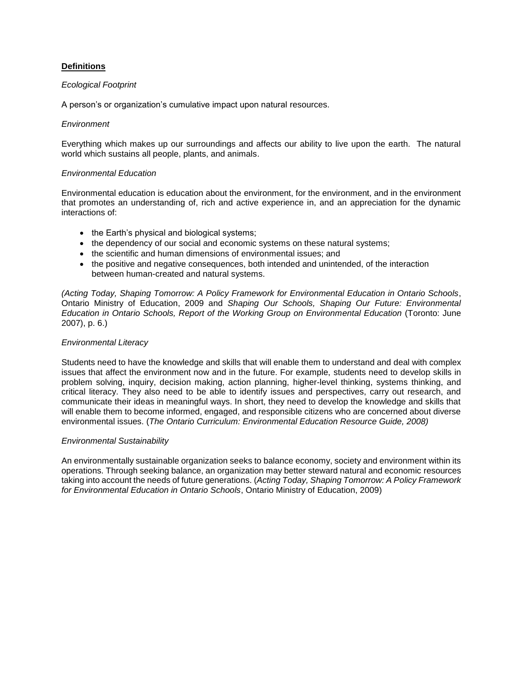### **Definitions**

#### *Ecological Footprint*

A person's or organization's cumulative impact upon natural resources.

#### *Environment*

Everything which makes up our surroundings and affects our ability to live upon the earth. The natural world which sustains all people, plants, and animals.

#### *Environmental Education*

Environmental education is education about the environment, for the environment, and in the environment that promotes an understanding of, rich and active experience in, and an appreciation for the dynamic interactions of:

- the Earth's physical and biological systems;
- the dependency of our social and economic systems on these natural systems;
- the scientific and human dimensions of environmental issues; and
- the positive and negative consequences, both intended and unintended, of the interaction between human-created and natural systems.

*(Acting Today, Shaping Tomorrow: A Policy Framework for Environmental Education in Ontario Schools*, Ontario Ministry of Education, 2009 and *Shaping Our Schools, Shaping Our Future: Environmental Education in Ontario Schools, Report of the Working Group on Environmental Education* (Toronto: June 2007), p. 6.)

#### *Environmental Literacy*

Students need to have the knowledge and skills that will enable them to understand and deal with complex issues that affect the environment now and in the future. For example, students need to develop skills in problem solving, inquiry, decision making, action planning, higher-level thinking, systems thinking, and critical literacy. They also need to be able to identify issues and perspectives, carry out research, and communicate their ideas in meaningful ways. In short, they need to develop the knowledge and skills that will enable them to become informed, engaged, and responsible citizens who are concerned about diverse environmental issues. (*The Ontario Curriculum: Environmental Education Resource Guide, 2008)*

#### *Environmental Sustainability*

An environmentally sustainable organization seeks to balance economy, society and environment within its operations. Through seeking balance, an organization may better steward natural and economic resources taking into account the needs of future generations. (*Acting Today, Shaping Tomorrow: A Policy Framework for Environmental Education in Ontario Schools*, Ontario Ministry of Education, 2009)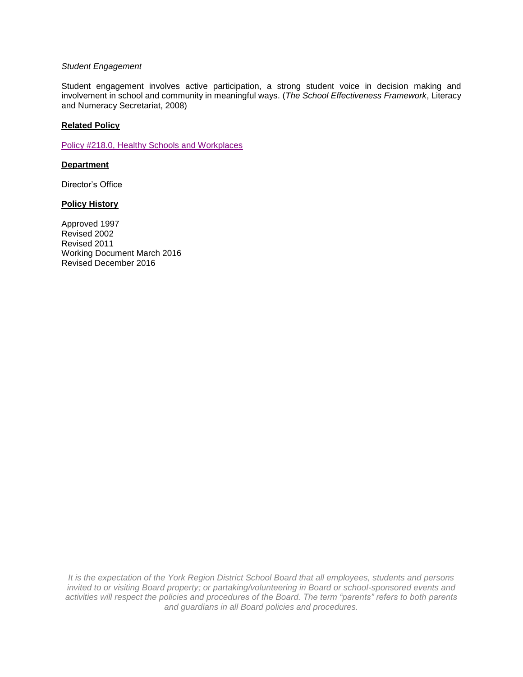#### *Student Engagement*

Student engagement involves active participation, a strong student voice in decision making and involvement in school and community in meaningful ways. (*The School Effectiveness Framework*, Literacy and Numeracy Secretariat, 2008)

### **Related Policy**

[Policy #218.0, Healthy Schools and Workplaces](http://www.yrdsb.ca/boarddocs/Documents/PP-healthyschoolsandworkplaces-218.pdf)

#### **Department**

Director's Office

#### **Policy History**

Approved 1997 Revised 2002 Revised 2011 Working Document March 2016 Revised December 2016

*It is the expectation of the York Region District School Board that all employees, students and persons invited to or visiting Board property; or partaking/volunteering in Board or school-sponsored events and activities will respect the policies and procedures of the Board. The term "parents" refers to both parents and guardians in all Board policies and procedures.*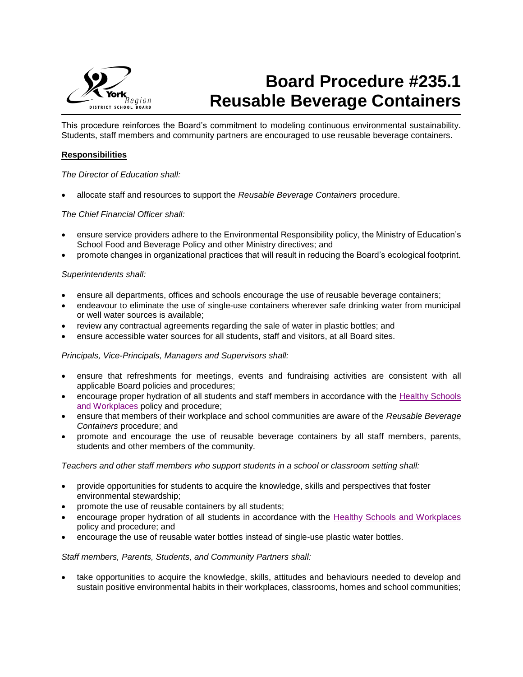

# **Board Procedure #235.1 Reusable Beverage Containers**

This procedure reinforces the Board's commitment to modeling continuous environmental sustainability. Students, staff members and community partners are encouraged to use reusable beverage containers.

## **Responsibilities**

#### *The Director of Education shall:*

allocate staff and resources to support the *Reusable Beverage Containers* procedure.

### *The Chief Financial Officer shall:*

- ensure service providers adhere to the Environmental Responsibility policy, the Ministry of Education's School Food and Beverage Policy and other Ministry directives; and
- promote changes in organizational practices that will result in reducing the Board's ecological footprint.

#### *Superintendents shall:*

- ensure all departments, offices and schools encourage the use of reusable beverage containers;
- endeavour to eliminate the use of single-use containers wherever safe drinking water from municipal or well water sources is available;
- review any contractual agreements regarding the sale of water in plastic bottles; and
- ensure accessible water sources for all students, staff and visitors, at all Board sites.

#### *Principals, Vice-Principals, Managers and Supervisors shall:*

- ensure that refreshments for meetings, events and fundraising activities are consistent with all applicable Board policies and procedures;
- encourage proper hydration of all students and staff members in accordance with the [Healthy Schools](http://www.yrdsb.ca/boarddocs/Documents/PP-healthyschoolsandworkplaces-218.pdf)  [and Workplaces](http://www.yrdsb.ca/boarddocs/Documents/PP-healthyschoolsandworkplaces-218.pdf) policy and procedure;
- ensure that members of their workplace and school communities are aware of the *Reusable Beverage Containers* procedure; and
- promote and encourage the use of reusable beverage containers by all staff members, parents, students and other members of the community.

*Teachers and other staff members who support students in a school or classroom setting shall:*

- provide opportunities for students to acquire the knowledge, skills and perspectives that foster environmental stewardship;
- promote the use of reusable containers by all students;
- encourage proper hydration of all students in accordance with the [Healthy Schools and Workplaces](http://www.yrdsb.ca/boarddocs/Documents/PP-healthyschoolsandworkplaces-218.pdf) policy and procedure; and
- encourage the use of reusable water bottles instead of single-use plastic water bottles.

#### *Staff members, Parents, Students, and Community Partners shall:*

 take opportunities to acquire the knowledge, skills, attitudes and behaviours needed to develop and sustain positive environmental habits in their workplaces, classrooms, homes and school communities;